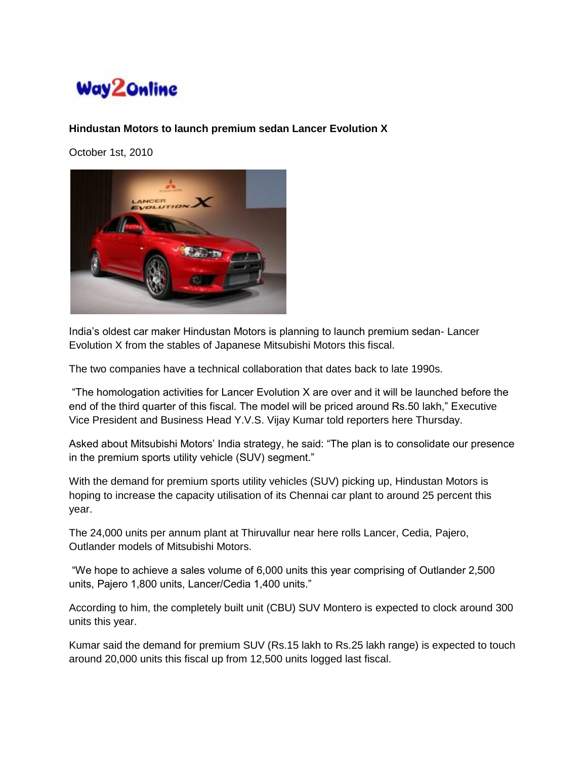

## **Hindustan Motors to launch premium sedan Lancer Evolution X**

October 1st, 2010



India's oldest car maker Hindustan Motors is planning to launch premium sedan- Lancer Evolution X from the stables of Japanese Mitsubishi Motors this fiscal.

The two companies have a technical collaboration that dates back to late 1990s.

"The homologation activities for Lancer Evolution X are over and it will be launched before the end of the third quarter of this fiscal. The model will be priced around Rs.50 lakh," Executive Vice President and Business Head Y.V.S. Vijay Kumar told reporters here Thursday.

Asked about Mitsubishi Motors' India strategy, he said: "The plan is to consolidate our presence in the premium sports utility vehicle (SUV) segment."

With the demand for premium sports utility vehicles (SUV) picking up, Hindustan Motors is hoping to increase the capacity utilisation of its Chennai car plant to around 25 percent this year.

The 24,000 units per annum plant at Thiruvallur near here rolls Lancer, Cedia, Pajero, Outlander models of Mitsubishi Motors.

"We hope to achieve a sales volume of 6,000 units this year comprising of Outlander 2,500 units, Pajero 1,800 units, Lancer/Cedia 1,400 units."

According to him, the completely built unit (CBU) SUV Montero is expected to clock around 300 units this year.

Kumar said the demand for premium SUV (Rs.15 lakh to Rs.25 lakh range) is expected to touch around 20,000 units this fiscal up from 12,500 units logged last fiscal.